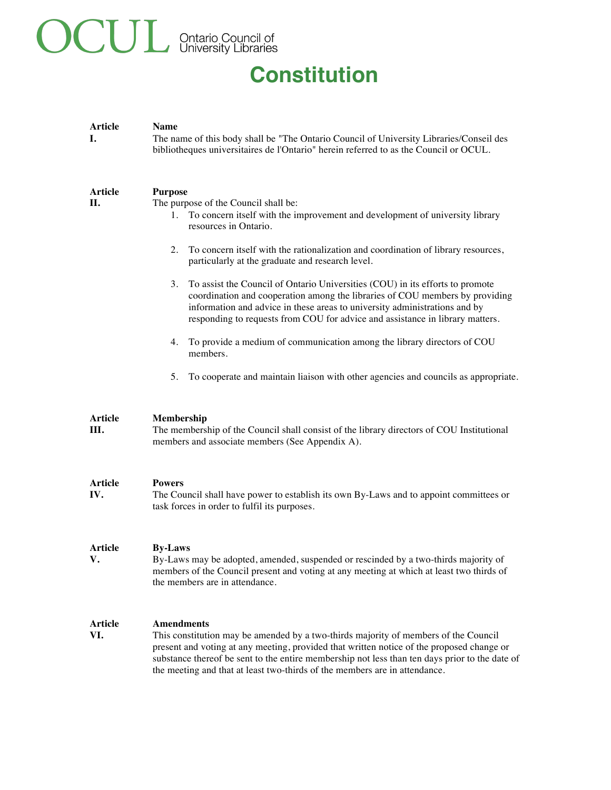# **OCUL** Ontario Council of

# **Constitution**

| <b>Article</b><br>Ι.  | <b>Name</b><br>The name of this body shall be "The Ontario Council of University Libraries/Conseil des<br>bibliotheques universitaires de l'Ontario" herein referred to as the Council or OCUL.                                                                                                                                                                                                                                                                                                                                                                                                                                                         |
|-----------------------|---------------------------------------------------------------------------------------------------------------------------------------------------------------------------------------------------------------------------------------------------------------------------------------------------------------------------------------------------------------------------------------------------------------------------------------------------------------------------------------------------------------------------------------------------------------------------------------------------------------------------------------------------------|
| <b>Article</b><br>П.  | <b>Purpose</b><br>The purpose of the Council shall be:<br>1. To concern itself with the improvement and development of university library<br>resources in Ontario.<br>To concern itself with the rationalization and coordination of library resources,<br>2.<br>particularly at the graduate and research level.<br>3.<br>To assist the Council of Ontario Universities (COU) in its efforts to promote<br>coordination and cooperation among the libraries of COU members by providing<br>information and advice in these areas to university administrations and by<br>responding to requests from COU for advice and assistance in library matters. |
|                       | To provide a medium of communication among the library directors of COU<br>4.<br>members.                                                                                                                                                                                                                                                                                                                                                                                                                                                                                                                                                               |
|                       | 5.<br>To cooperate and maintain liaison with other agencies and councils as appropriate.                                                                                                                                                                                                                                                                                                                                                                                                                                                                                                                                                                |
| Article<br>III.       | Membership<br>The membership of the Council shall consist of the library directors of COU Institutional<br>members and associate members (See Appendix A).                                                                                                                                                                                                                                                                                                                                                                                                                                                                                              |
| <b>Article</b><br>IV. | <b>Powers</b><br>The Council shall have power to establish its own By-Laws and to appoint committees or<br>task forces in order to fulfil its purposes.                                                                                                                                                                                                                                                                                                                                                                                                                                                                                                 |
| Article<br>v.         | <b>By-Laws</b><br>By-Laws may be adopted, amended, suspended or rescinded by a two-thirds majority of<br>members of the Council present and voting at any meeting at which at least two thirds of<br>the members are in attendance.                                                                                                                                                                                                                                                                                                                                                                                                                     |
| <b>Article</b><br>VI. | <b>Amendments</b><br>This constitution may be amended by a two-thirds majority of members of the Council<br>present and voting at any meeting, provided that written notice of the proposed change or<br>substance thereof be sent to the entire membership not less than ten days prior to the date of<br>the meeting and that at least two-thirds of the members are in attendance.                                                                                                                                                                                                                                                                   |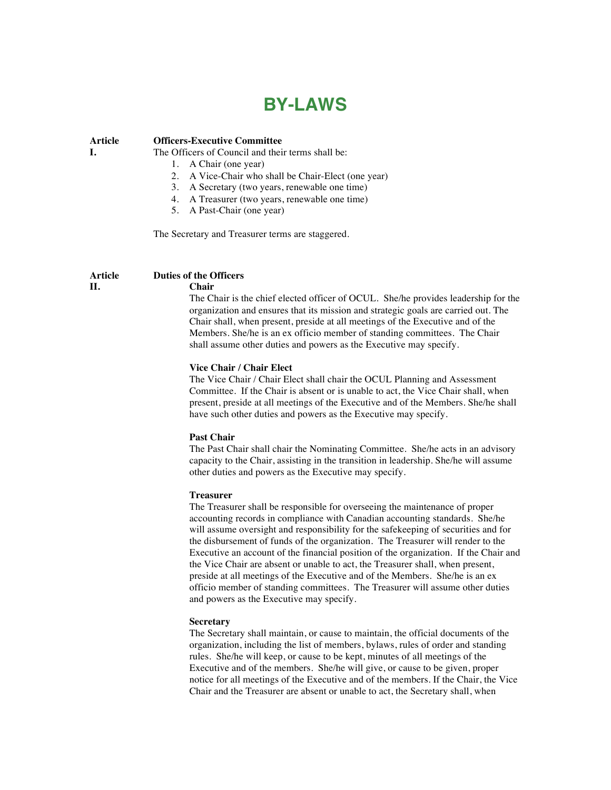# **BY-LAWS**

**Article I. Officers-Executive Committee** The Officers of Council and their terms shall be: 1. A Chair (one year)

- 2. A Vice-Chair who shall be Chair-Elect (one year)
- 3. A Secretary (two years, renewable one time)
- 4. A Treasurer (two years, renewable one time)
- 5. A Past-Chair (one year)

The Secretary and Treasurer terms are staggered.

#### **Article Duties of the Officers Chair**

# **II.**

# The Chair is the chief elected officer of OCUL. She/he provides leadership for the organization and ensures that its mission and strategic goals are carried out. The Chair shall, when present, preside at all meetings of the Executive and of the Members. She/he is an ex officio member of standing committees. The Chair shall assume other duties and powers as the Executive may specify.

#### **Vice Chair / Chair Elect**

The Vice Chair / Chair Elect shall chair the OCUL Planning and Assessment Committee. If the Chair is absent or is unable to act, the Vice Chair shall, when present, preside at all meetings of the Executive and of the Members. She/he shall have such other duties and powers as the Executive may specify.

## **Past Chair**

The Past Chair shall chair the Nominating Committee. She/he acts in an advisory capacity to the Chair, assisting in the transition in leadership. She/he will assume other duties and powers as the Executive may specify.

### **Treasurer**

The Treasurer shall be responsible for overseeing the maintenance of proper accounting records in compliance with Canadian accounting standards. She/he will assume oversight and responsibility for the safekeeping of securities and for the disbursement of funds of the organization. The Treasurer will render to the Executive an account of the financial position of the organization. If the Chair and the Vice Chair are absent or unable to act, the Treasurer shall, when present, preside at all meetings of the Executive and of the Members. She/he is an ex officio member of standing committees. The Treasurer will assume other duties and powers as the Executive may specify.

## **Secretary**

The Secretary shall maintain, or cause to maintain, the official documents of the organization, including the list of members, bylaws, rules of order and standing rules. She/he will keep, or cause to be kept, minutes of all meetings of the Executive and of the members. She/he will give, or cause to be given, proper notice for all meetings of the Executive and of the members. If the Chair, the Vice Chair and the Treasurer are absent or unable to act, the Secretary shall, when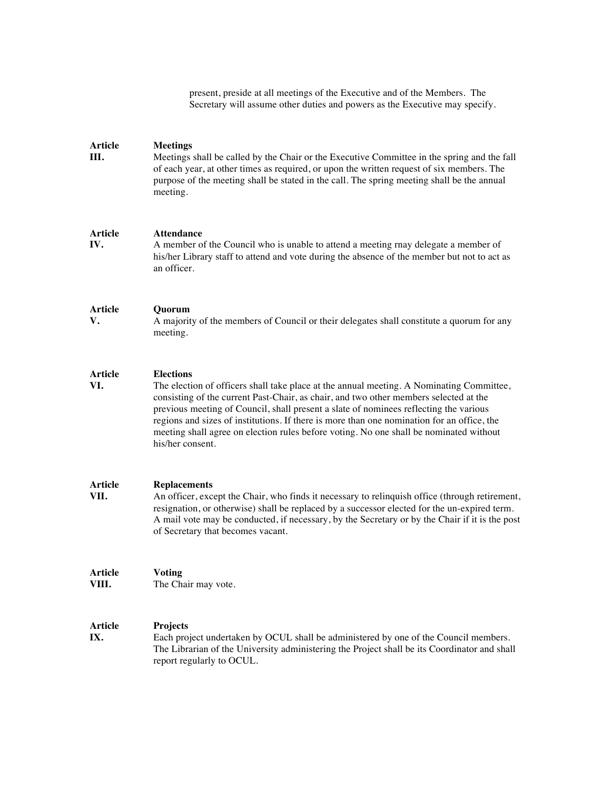present, preside at all meetings of the Executive and of the Members. The Secretary will assume other duties and powers as the Executive may specify.

#### **Article III. Meetings** Meetings shall be called by the Chair or the Executive Committee in the spring and the fall of each year, at other times as required, or upon the written request of six members. The purpose of the meeting shall be stated in the call. The spring meeting shall be the annual meeting.

#### **Article Attendance**

**IV.** A member of the Council who is unable to attend a meeting rnay delegate a member of his/her Library staff to attend and vote during the absence of the member but not to act as an officer.

#### **Article Quorum**

**V.**

**VI.**

A majority of the members of Council or their delegates shall constitute a quorum for any meeting.

#### **Article Elections**

The election of officers shall take place at the annual meeting. A Nominating Committee, consisting of the current Past-Chair, as chair, and two other members selected at the previous meeting of Council, shall present a slate of nominees reflecting the various regions and sizes of institutions. If there is more than one nomination for an office, the meeting shall agree on election rules before voting. No one shall be nominated without his/her consent.

#### **Article Replacements**

**VII.** An officer, except the Chair, who finds it necessary to relinquish office (through retirement, resignation, or otherwise) shall be replaced by a successor elected for the un-expired term. A mail vote may be conducted, if necessary, by the Secretary or by the Chair if it is the post of Secretary that becomes vacant.

#### **Article Voting**

**VIII.**

The Chair may vote.

#### **Article Projects**

**IX.** Each project undertaken by OCUL shall be administered by one of the Council members. The Librarian of the University administering the Project shall be its Coordinator and shall report regularly to OCUL.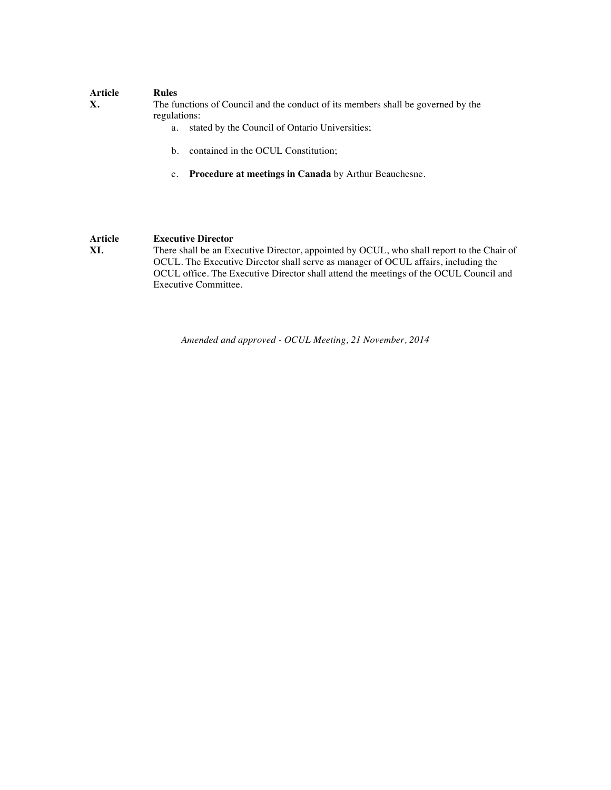| Article<br>Х. | <b>Rules</b><br>The functions of Council and the conduct of its members shall be governed by the<br>regulations: |
|---------------|------------------------------------------------------------------------------------------------------------------|
|               | stated by the Council of Ontario Universities;<br>a.                                                             |
|               | contained in the OCUL Constitution;<br>b.                                                                        |

c. **Procedure at meetings in Canada** by Arthur Beauchesne.

**Article XI. Executive Director** There shall be an Executive Director, appointed by OCUL, who shall report to the Chair of OCUL. The Executive Director shall serve as manager of OCUL affairs, including the OCUL office. The Executive Director shall attend the meetings of the OCUL Council and Executive Committee.

*Amended and approved - OCUL Meeting, 21 November, 2014*